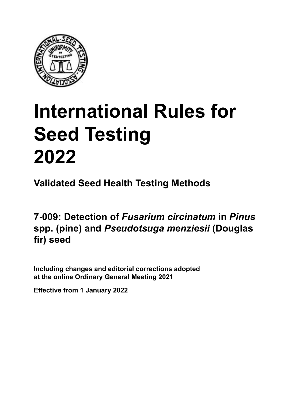

# **International Rules for Seed Testing von Saatgut 2022 2022 Semences 2022 International Rules for Seed Testing 2022**

**Métodos Validados para Análisis de Sanidad de Semillas Validate Méthodes Validées pour Analyse Sanitaire des Semences Validated Seed Health Testing Methods**

7-009: Detection of *Fusarium circinatum* in *Pinus* spp. (pine) and *Pseudotsuga menziesii* (Douglas *menziesii* **(abeto de Douglas) fir) seed**

Including changes and editorial corrections adopted at the online Ordinary General Meeting 2021

**Effective from 1 January 2022**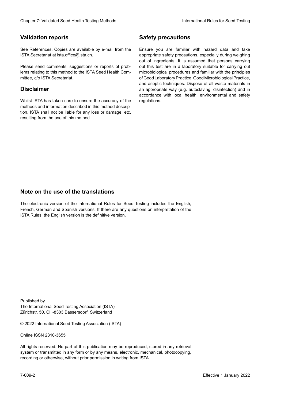## **Validation reports**

See References. Copies are available by e-mail from the<br>ISTA Secretariat at ista.office@ista.ch. ISTA Secretariat at ista.office@ista.ch.

lems relating to this method to the ISTA Seed Health Com-<br>mittee, c/o ISTA Secretariat. mittee, c/o ISTA Secretariat.<br>i Please send comments, suggestions or reports of prob-

## **Limitation de responsabilité Disclaimer**

Whilst ISTA has taken care to ensure the accuracy of the<br>methods and information described in this method description, ISTA shall not be liable for any loss or damage, etc.<br>resulting from the use of this method.<br>. resulting from the use of this method. Whilst ISTA has taken care to ensure the accuracy of the methods and information described in this method descrip-<br>tion, ISTA shall not be liable for any loss or damage, etc. tion, ISTA shall not be liable for any loss or damage, etc.<br>resulting from the use of this method.

## **Medidas de seguridad Sicherheitsmaßnahmen Sécurité Safety precautions**

Ensure you are familiar with hazard data and take Ensure you are familiar with hazard data and take<br>appropriate safety precautions, especially during weighing out of ingredients. It is assumed that persons carrying out this test are in a laboratory suitable for carrying out microbiological procedures and familiar with the principles of Good Laboratory Practice, Good Microbiological Practice, and aseptic techniques. Dispose of all waste materials in an appropriate way (e.g. autoclaving, disinfection) and in accordance with local health, environmental and safety regulations. Glade 7: Validated Deed Health Testing holesdos<br>
Gallet Corresponds<br>
Validation responds with a statistic by e-mail four ole Simuar you are Smiths related data and simulated<br>
Sim Defensions at the off-simulated by the stat microbiological procedures and familiar with the principles<br>of Good Laboratory Practice, Good Microbiological Practice,<br>and aseptic techniques. Dispose of all waste materials in<br>an appropriate way (e.g. autoclaving, disinf fallstoffe sind auf geeignete Weise und entsprechend der vor Ort über der vor Ort über und Umwelt- und Umwelt-<br>Eine und Umwelt-Effective Counter of Nicholas Devel Teach Teach Teach Devel Safety precedutions<br>
Validation reports<br>
Safety precedution reports and the symbol state of the sementic of the symbol state of the based delay and share<br>
Propose of Good Laboratory Practice, Good Microbiological Practice,<br>and aseptic techniques. Dispose of all waste materials in<br>an appropriate way (e.g. autoclaving, disinfection) and in Validation reports<br>
Since The Texture 1988 and the methods of the state of the state of the state of the state of the Since Conserverse Conserverse in the state of the Since Conserverse Conserverse Conserverse in the state Ensure you are familiar with hazard data and take<br>appropriate safety precautions, especially during weighing<br>out of ingredients. It is assumed that persons carrying<br>out this test are in a laboratory suitable for carrying o

## **Nota sobre el uso de traducciones Anmerkung zur Benutzung der Übersetzungen Note on the use of the translations**

The electronic version of the International Rules for Seed Testing includes the English, French, German and Spanish versions. If there are any questions on interpretation of the ISTA Rules, the English version is the definitive version. The electronic version of the International Rules for Seed Testing includes the English,<br>French, German and Spanish versions. If there are any questions on interpretation of the<br>ISTA Rules, the English version is the defin The electronic version of the International Rules for Seed Testing includes the English,<br>French, German and Spanish versions. If there are any questions on interpretation of the

Published by **Extending Association (ISTA)** The International Seed Testing Association (ISTA) Zürichstr. 50, CH-8303 Bassersdorf, Switzerland

© 2022 International Seed Testing Association (ISTA)

Alle Rechte vorbehalten. Kein Teil dieses Werkes darf in irgendwelcher Form oder durch Online ISSN 2310-3655

All rights reserved. No part of this publication may be reproduced, stored in any retrieval All rights reserved. No part of this publication may be reproduced, stored in any retrieval<br>system or transmitted in any form or by any means, electronic, mechanical, photocopying,<br>recording or otherwise, without prior per recording or otherwise, without prior permis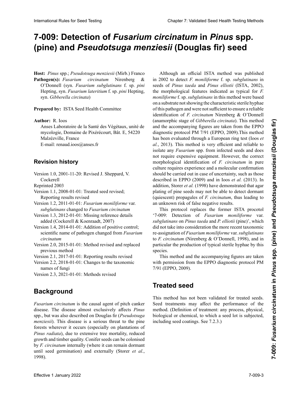## 7-009: Detection of *Fusarium circinatum* in *Pinus* spp. (pine) and *Pseudotsuga menziesii* (Douglas fir) seed

O'Donnell (syn. Fusarium subglutinans f. sp. pini Hepting, syn. *Fusarium lateritium* f. sp. *pini* Hepting, syn. Gibberella circinata) nell (syn. *Fusarium subglutinans* f. sp. *pini* Hep-O'Donnell (syn. *F*. *subglutinans* f. sp. *pini* Hepting, Hepting, syn. *Fusarium lateritium* f. sp. *pini* **Host:** *Pinus* spp.; *Pseudotsuga menziesii* (Mirb.) Franco **Pathogen(s):** *Fusarium circinatum* Nirenberg &

**nored by:** JSTA Seed Heplth Committee Prepared by: ISTA Seed Health Committee

**Author:** R. Ioos

Anses Laboratoire de la Santé des Végétaux, unité de **Autor:** R. Ioos **Autoren:** R. Ioos  $\Gamma$  anses Laboratoire de la Santé de la Santé de la Santé de la Santé de la Santé de la Santé de la Santé de la Santé de la Santé de la Santé de la Santé de la Santé de la Santé de la Santé de la Santé de la Santé de la  $E$ -main. Fenaud. Toos $\omega$ anses. If **Auteur :** R. Ioos mycologie, Domaine de Pixérécourt, Bât. E, 54220<br>Malako  $\frac{1}{2}$  maizezvine, Piance E-mail: renaud.ioos@anses.fr Malzézville, France

**Revision history** 

**Version 1.0, 2001-11-20: Revis Historique de la révision** Cockerell and  $\alpha$ . The particle state  $\alpha$ . Sheppard,  $\alpha$ Version 1.0, 2001-11-20: Revised J. Sheppard, V.

Reprinted 2003

Version 1.1, 2008-01-01: Treated seed revised; Reporting results revised

Version 1.2, 2011-01-01: *Fusarium moniliforme* var. me de resultados revisado beitet; "Berichterstattung der Ergebnisse" überarbeitet Version 1.2, 2011-01-01 : *Fusarium moniliforme* var. *subglutinans* changed to *Fusarium circinatum*

Version 1.3, 2012-01-01: Missing reference details added (Cockerell & Koenraadt, 2007)

Version 1.4, 2014-01-01: Addition of positive control; scientific name of pathogen changed from *Fusarium* Versión 1.4, 2014-01-01: Se agrega el control positivo; Version Ergänzung der Positivkontrol-*circinatum*  $m$ 

Version 2.0, 2015-01-01: Method revised and replaced *Fusarium circinatum* nannt auf *Fusarium circinatum* previous method

Version 2.1, 2017-01-01: Reporting results revised

Version 2.2, 2018-01-01: Changes to the taxonomic names of fungi  $Version$  2.3, 2021-01-01: Methods revised

nómicos del hongo Version 2.3, 2021-01-01: Methods revised Version 2.2, 2018-01-01: *Gibberella circinata* umbenannt Version 2.2, 2018-01-01: Modification du nom taxono-

## Version 2.3, 2021-01-01: Überarbeitung der Methoden 2021-01-01 : « Méthodes » révisé **Background**

**Antecedentes** *Fuscase Fusarium circinatum circinatum circinatum* spp., but was also described on Douglas fir (Pseudotsuga *menziesii*). This disease is a serious threat to the pine forests wherever it occurs (especially on plantations of *Finus radiala*), que to extensive tree mortality, requeed *Pinus radiata*), due to extensive tree mortality, reduced<br>growth and timber quality. Conifer seeds can be colonised by *F. circinatum* internally (where it can remain dormant until seed germination) and externally (Storer *et al.*,  $1998$ ). Fusarium circinatum is the causal agent of pitch canker<br>disease. The disease almost exclusively effects *Pinus* Finus radiata), due to extensive tree mortality, reduced growth and timber quality. Conifer seeds can be colonised disease. The disease almost exclusively affects *Pinus Pinus radiata*), due to extensive tree mortality, reduced 1998).

seeds of *Pinus taeda* and *Pinus elliotii* (ISTA, 2002), the morphological features indicated as typical for *F*. moniliforme f. sp. subglutinans in this method were based on a substrate not showing the characteristic sterile hyphae of this pathogen and were not sufficient to ensure a reliable<br>identification of *F. circinatum* Nirenberg & O'Donnell<br>(openambia stage of *Cibbaralla singinate*). This mathod identification of *F. circinatum* Nirenberg & O'Donnell *F.moniliforme* f.sp. *subglutinans* en este método, se ba-licht wurde, zeigen sich die für *F. moniliforme* f. sp. *subglu-*(anamorphic stage of *Gibberella circinata*). This method and the accompanying figures are taken from the EPPO características de este patógeno y no fueron suficientes de este patógeno y no fueron suficientes de este patógeno y no fueron suficiente de este patógeno y no fueron suficiente de este patógeno y no fueron suficiente de product to *F. circinatum* confidentification confidentification de *F. circinatum* de *F. circinatum* de *F. circinatum* de *F. circinatum* de *F. circinatum* de *F. circinatum* de *F. circinatum* de *F. circinatum* de *F* has been evaluated through a European ring test (Ioos *et*  $\frac{1}{2}$ al., 2013). This method is very efficient and reliable to isolate any *Fusarium* spp. from infected seeds and does not require expensive equipment. However, the correct<br>not require expensive equipment. However, the correct morphological identification of *F. circinatum* in pure morphological identification of  $F$ . *circinatum* in pure culture requires experience and a molecular confirmation should be carried out in case of uncertainty, such as those described in EPPO (2009) and in loos et al. (2013). In addition, Storer et al. (1998) have demonstrated that agar plating of pine seeds may not be able to detect dormant plating of pine seeds may not be able to detect dormant<br>(quiescent) propagules of *F. circinatum*, thus leading to an unknown risk of false negative results. O'Downli (syn. Favorina single<br>intervins and chose the methodogical features indicated a typical for<br>Figure 3n. Favorina lateration f. sp. either spin and the methodogical features indicated a typical for<br>Figure 3n. Collo *Pinus Pinus* **Pinus** *Pinus Find Coniciles Continue Conicileations* **<b>***Pinus in the Conicileation decorates are defining to the mondifferent and the mondifferent and the mondifferent and the mondifferent and the mondiff* diagnostic protocol PM 7/91 (EPPO, 2009). This method<br>has been evaluated through a European ring test (Ioos *et* isolate any *Fusarium* spp. from infected seeds and does<br>not require expensive equipment. However, the correct<br>morphological identification of *F. circinatum* in pure<br>culture requires experience and a molecular confirmatio blanchion Relieve To be the Section of **FLISBYIUM Circuit Conservation** in **Pinus Spp.**<br> **Color Conservation Conservation Conservation Conservation Conservation Conservation Conservation Conservation Conservation Conserva** Although an official ISTA method was published in 2002 to detect *F. moniliforme* f. sp. *subglutinans* in culture requires experience and a molecular confirmation

This protocol replaces the former ISTA procotol This protocol replaces the former ISTA procotol '7-009: Detection of Fusarium moniliforme var. '7-009: Detection of *Fusarium moniliforme* var.<br>subglutinans on Pinus taeda and P. elliotii (pine)', which did not take into consideration the more recent taxonomic re-assignation of *Fusarium moniliforme* var. *subglutinans* to *F. circinatum* (Nirenberg & O'Donnell, 1998), and in particular the production of typical sterile hyphae by this<br>species. en **Pinus taeda** y <sup>P</sup>. elliotii (pinus taeda) in elliotii (pinus taeda) in elliotii (pinus taeda) in elliotii (pinus taeda) in elliotii (pinus taeda) in elliotii (pinus taeda) in elliotii (pinus taeda) in elliotii (pinus  $\frac{1}{\sqrt{2}}$ *did* not take into consideration the more recent taxonomic<br>*re-assignation of Fusarium moniliforme* var. *subglutinans*<br>to *F. circinatum* (Nirenberg & O'Donnell. 1998), and in re-assignation of *Fusarium moniliforme* var. *subglutinans* species.

This method and the accompanying figures are taken<br>with permission from the EPPO diagnostic protocol PM with permission from the EPPO diagnostic protocol PM  $7/91$  (EPPO, 2009). estériles típicas de estas especies. (Nirenberg and O'Donnell, 1998) berücksichtigte, und im

#### **Treated seed**  $\ldots$  $\frac{1}{2}$ lier la production d'hyphes stérile typique par cette espèce.

**Seed treatments may**<br>mothod (Definition of t biological or chemical, to which a seed lot is subjected,<br>including each actions, See 7.2.2.) including seed coatings. See 7.2.3.) This method has not been validated for treated seeds. freundlicher Has hot been vandated t Seed treatments may affect the performance of the  $\frac{d}{dt}$ . method. (Definition of treatment: any process, physical,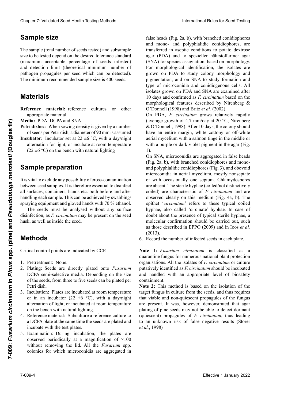The sample (total number of seeds tested) and subsample size to be tested depend on the desired tolerance standard (maximum acceptable percentage of seeds infested) and detection limit (theoretical minimum number of pathogen propagules per seed which can be detected). t<br>The minimum recommended sample size is 400 seeds present Samen Samen Samen Constant Controllerance Samendard (maximum acceptable percentage of seeds infested) and detection limit (theoretical minimum number of pathogen proposquiles per seed which can be detected). pathogen propagules per seed which can be detected).<br>The minimum recommended sample size is 400 seeds. (maximum acceptable percentage of seeds infested) The minimum recommended sample size is 400 seeds.

#### **Materiales Material diagent par semences pouvant et al.** La taille minimum recommandée de l'échantillon est de

**Material de referencia una version de referencia una version de referencia una version de referenza una version de referencia una version de referenza una version de referenza una version de referenza una version de refer** uppropriate material wird entsprechendels Reference material: reference cultures or other

**Media:** PDA, DCPA and SNA<br>Petri dishes: When sowing dea

**Petri dishes:** When sowing density is given by a number **Place understand School seeds** per Petri dish, a diameter of 90 mm is assumed

Incubator: Incubator set at  $22 \pm 6$  °C, with a day/night **u**bator: includator set at  $22$ : Incubate alternation for fight, or incubate at room temperature  $(22 \pm 6 \degree C)$  on the bench with natural lighting **u**batur: includator set at  $22$ alternation for light, or incubate at room temperature

### Pétri, un diamètre de 90 mm est supposé  $\mathbf{S}$ ample preparation

**Preparación de la muestra Probenvorbereitung** nance jour/nuit pour la lumière, ou incubation à tempébetween seed samples. It is therefore essential to disinfect all surfaces, containers, hands etc. both before and after handling each sample. This can be achieved by swabbing/ spraying equipment and gloved hands with 70 % ethanol. It is vital to exclude any possibility of cross-contamination

spraying equipment and gloved hands with 70 % ethanol.<br>The seeds must be analysed without any surface The seeds must be analysed without any surface disinfection, as *F. circinatum* may be present on the seed husk, as well as inside the seed. husk, as well as inside the seed.

## **Methods**

**Métodos Methoden** Critical control points are indicated by CCP. Les semences doivent être analysées sans aucune dé-

- 1. Pretreatment: None.
- 2. Plating: Seeds are directly plated onto *Fusarium*  $\alpha$  the seeds from three to of the seeds, from three to five seeds can be plated per **Patri dight** 2. Plating: Seeds are directly plated onto Fusariu<br>DCPA semi-selective media. Depending on the singletering of the seeds from three to five seeds can be plated n DCPA semi-selective media. Depending on the size Petri dish.
- retri disit.<br>3. Incubation: Plates are incubated at room temperature diendo del tamaño de las sembras de las semillas, semillaren sempre der semillaren  $(22 \pm 6^\circ \text{C})$ , with a day/night  $\alpha$  5  $\alpha$  semi-metric portion  $\alpha$ alternation of light, or incubated at room temperature on the bench with natural lighting.
- on the ochen with hatural lighting.  $\frac{1}{2}$ a DCPA plate at the same time the seeds are plated and  $\frac{1}{4}$ . Material de referencia: Subcultivar un cultivar un cultivar un cultivar un cultivar un cultivat un cultivat un cultivat un cultivat un cultivat un cultivat un cultivat un cultivat un cultivat un cultivat un cul on the benefit with hatthar lighting.<br>4. Reference material: Subculture a reference culture to incubate with the test plates.
- $\frac{1}{2}$  Examination: During includation, the plates are observed periodically at a magnification of  $\times$ 100 5. Examination: During includation, the plates are<br>observed periodically at a magnification of  $\times 100$ <br>without removing the lid. All the *Fusarium* spp. colonies for which microconidia are aggregated in Incubate with the test plates.<br>5. Examination: During incubation, the plates are

false heads (Fig. 2a, b), with branched conidiophores false heads (Fig. 2a, b), with branched conidiophores and mono- and polyphialidic conidiophores, are and mono- and polyphialidic conidiophores, are<br>transferred in aseptic conditions to potato dextrose agar (PDA) and to spezieller nährstoffarmer agar (SNA) for species assignation, based on morphology. For morphological identification, the isolates are<br>grown on PDA to study colony morphology and grown on PDA to study colony morphology and poigmentation and on SNA to study formation and type of microconidia and conidiogenous cells. All isolates grown on PDA and SNA are examined after 10 days and confirmed as *F. circinatum* based on the<br>morphological features, described by Nirenberg  $\mathcal{R}_k$ morphological features described by Nirenberg & O'Donnell (1998) and Britz et al. (2002).<br>On PDA E circumstum crows relatively repidly grown on PDA to study colony morphology and<br>pigmentation, and on SNA to study formation and<br>type of microconidia and conidiogenous cells All pigmentation, and on SNA to study formation and

on PDA, *F. circinatum* grows relatively rapidly<br>(examples morth of 4.7 mm/dove to 20 °C). Nixonhome on TBH, T. circinatum grows Telatively Tapiary<br>(average growth of 4.7 mm/day at 20 °C; Nirenberg & O'Donnell, 1998). After 10 days, the colony should (2002) Bolliett, 1990). After Francia en circinatum creativamente rápida en circunatum creativamente rápida en circunatum creativamente rápida aerial mycelium with a salmon tinge in the middle or aeriar inycentum with a samfon tinge in the initiate of<br>with a purple or dark violet pigment in the agar (Fig. 1).  $\frac{1}{2}$  dias, la colonia debería tener un margen completo, la completo, la completo, la completo, la completo, la completo, la completo, la completa de la completa de la completa de la completa de la completa de la  $\alpha$  O D have an entire margin, white cottony or off-white eine vollständige Umgrenzung mit weißem flaumigen 1).

On SNA, microconiqua are aggregated in taise neads (Fig. 2a, b), with branched conidiophores and mono-(Fig. 2a, b), with branched conidiophores and mono-<br>and polyphialidic conidiophores (Fig. 3), and obovoid microconidia in aerial mycelium, mostly nonseptate or with occasionally one septum. Chlamydospores or with occasionally one septum. Chlamydospores<br>are absent. The sterile hyphae (coiled/not distinctively coiled) are characteristic of *F. circinatum* and are observed clearly on this medium (Fig. 4a, b). The epithet '*circinatum*' refers to these typical coiled hyphae, also called 'circinate' hyphae. In case of doubt about the presence of typical sterile hyphae, a molecular confirmation should be carried out, such<br>as those described in EPPO (2009) and in Ioos *et al.*<br>(2013).<br>Record the number of infected seeds in each plate. as those described in EPPO (2009) and in Ioos et al. (2013).  $(2013).$ Clearly 7: Validated Dest Petrix freiru bath ab 1. International This is both the state of the state of the control of the state of the control of the state of the state of the state of the state of the state of the state 1).<br>On SNA, microconidia are aggregated in false heads observed clearly on this medium (Fig. 4a, b). The epithet *'circinatum'* refers to these typical coiled hyphae, also called 'circinate' hyphae. In case of Chaos 7 Validiati Seat Heill Twing Mathos<br>
Sample Gives for the Back and Heiling Mathos Internation River to the Back and Heiling Control of the Back and Chaosing Control of the Back and Chaosing Control of the Back and C coiled) are characteristic of *F. circinatum* and are observed clearly on this medium (Fig. 4a, b). The epithet *'circinatum'* refers to these typical coiled EFFECT Methods the median of the species of the species of the species of the species of the species of the species of the species of the species of the species of the species of the species of the species of the species epithet '*circinatum*' refers to these typical coiled hyphae, also called 'circinate' hyphae. In case of doubt about the presence of typical sterile hyphae, a

6. Record the number of infected seeds in each plate.

Note 1: Fusarium circinatum is classified as a quarantine fungus for numerous national plant protection<br>organisations. All the isolates of *F circinatum* or culture organisations. All the isolates of *F. circinatum* or culture nota *v*<br>and handled with an appropriate level of biosafety hongo cuarentenario por numerosas organizaciones na-**Anmerkung 1:** *Fusarium circinatum* ist als Quaputatively identified as *F. circinatum* should be incubated de in<br>I handled with an appropriate level of biosafety and handled with an appropriate level of biosafety<br>containment containment.

**Note 2:** This method is based on the isolation of the target fungus in culture from the seeds, and thus requires that viable and non-quiescent propagules of the fungus con un nivel and non quiescent propiagures of the fungus are present. It was, however, demonstrated that agar plating of pine secus máy not be able to detect dominant  $\alpha$  (quiescent) propagates of  $r$ , circinatum, thus reading to an unknown risk of false hegative results (storentes  $el$ .  $d$ .) del hongo. Sin embargo, se demostró, que la siembra en *F. circinatum* doivent être incubés et traités avec un niveau *et al.*, 1998)plating of pine secas may not be able to detect dominant (quies entity propagates of  $\Gamma$ , circination, und reading plating of pine seeds may not be able to detect dominant<br>(quiescent) propagules of *F. circinatum*, thus leading to an unknown risk of false negative results (Storer plating of pine seeds may not be able to detect dormant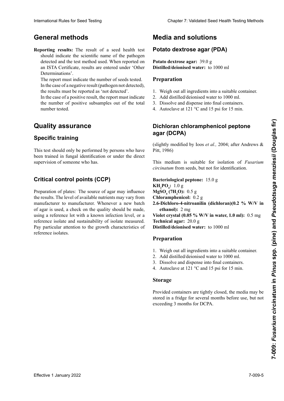## **Métodos generales Allgemeine Methoden Remarque 2 :** Cette méthode est basée sur l'isolement du **General methods**

**Reporting results:** The result of a seed health test should indicate the scientific name of the pathogen should indicate the scientific name of the pathogen<br>detected and the test method used. When reported on detected and the test method used. When reported on<br>an ISTA Certificate, results are entered under 'Other an ISTA Certificate, results are entered under 'Other Determinations'.

The report must indicate the number of seeds tested. In the case of a negative result (pathogen not detected),<br>the results must be reported as 'not detected' the results must be reported as 'not detected'.

In the case of a positive result, the report must indicate the number of positive result, the report must hidred<br>the number of positive subsamples out of the total indicar el número de sub-muestras del número del número del número del número del número del número del número<br>Positivas number tested. Im Falle eines positiven Ergebnisses sollten die Zahl auf die Zahl auf die Zahl auf die Zahl auf die Zahl auf die Zahl auf die Zahl auf die Zahl auf die Zahl auf die Zahl auf die Zahl auf die Zahl auf die Zahl auf die Zahl **INDICATION DES RÉSULTATS D'UN EST QUA-**

#### **Quality assurante** scientifique du patience du patientier du patientier du partier du partier du partier du partier du partier de **Quality assurance**

#### **Specific training** minister » dans letter » dans letter » dans letter » dans letter » dans letter » dans letter » dans letter » d<br>En internationale state en internationale en internationale en internationale en internationale en internation Le rapport doit indiquer le nombre de semences testées. **Specific training**

I his test should only be performed by persons who have I has test should only be performed by persons who have<br>been trained in fungal identification or under the direct supervision of someone who has. This test should only be performed by persons who have

#### **Crítical control points (CCP)** Pilzen haben oder unter der direkten Anleitung einer Per-Critical control points (CCP) quer le nombre de sous-échantillons positifs sur le nombre total testé.

Preparation of plates: The source of agar may influence the results. The level of available nutrients may vary from manufacturer to manufacturer. Whenever a new batch of agar is used, a check on the quality should be made, using a reference lot with a known infection level, or a reference isolate and sustainability of isolate measured. Pay particular attention to the growth characteristics of reference isolates. manufacturer to manufacturer. Whenever a new batch of agar is used, a check on the quality should be made, using a reference lot with a known infection level, or a reference isolate and sustainability of isolate measured.

## **Medios y soluciones Medien und Lösungen Milieux et solutions Media and solutions**

## **Agar papa dextrosa (PDA) Kartoffel-Dextrose-Agar (PDA) Potato dextrose agar (PDA) Potato dextrose agar (PDA)**

**Potato dextrose agar:** 39.0 g **Distilled/deionised water:** to 1000 ml

### **Preparación Préparation Preparation**

- 1. Weigh out all ingredients into a suitable container.
- 2. Add distilled/deionised water to 1000 ml.
- 2. Einwich distillée désigner de la containers.<br>3. Dissolve and dispense into final containers.
- 2.  $\frac{2.6661}{8}$  and depends the final community.  $\overline{3}$ . Tracovia v dispensar en los recipientes finales.  $\frac{1}{2}$  $\frac{2.2 \text{ m}}{2.2 \text{ m}}$ 3.Dissoudre et distribuer dans les récipients définitifs. 4. Autoclave at 121 °C and 15 psi for 15 min.

### **Agar dicloran-cloranfenicol-peptona (DCPA) agar (DCPA)** Dichloran chloramphonicol nontono 4. Autoklavieren bei 121 °C, 15 psi für 15 min. **Agar dichloro-chloramphénicol peptone Dichloran chloramphenicol peptone**

(slightly r (ligeramente modificado por Ioos *et al*., 2004; después de (slightly modified by Ioos *et al.*, 2004; after Andrews & Pitt, 1986)

 $\mathbb{R}$  and  $\mathbb{R}$  is pitting to  $\mathbb{R}$ *circinatum* from seeds, but not for identification. This medium is suitable for isolation of *Fusarium* 

 $KH_2PO_4$ : 1.0 g **MgSO<sub>4</sub>** (7H<sub>2</sub>O): 0.5 g **Chloramphenicol:** 0.2 g **Cloramfenicol:** 0,2 g **Bakteriologisches Pepton:** 15,0 g **Chloramphénicol :**0,2 g **2.6-Dichloro-4-nitroanilin (dichloran)(0.2 % W/V in**  *ethanol):* **2 mg ethanol):** 2 mg<br>**Violet crystal (0.05 % W/V in water, 1.0 ml):** 0.5 mg **Technical agar:** 20.0 g **Distilled/deionised water:** to 1000 ml **Bacteriological peptone:** 15.0 g International Rules for Seed Testing Compact Chapter 7: Validated Seed Health Testing Methods<br> **Convertile methods** for seed Ashib test **Photodoctometers 2022**<br> **Experimental Rules for Secondary and Ashib test and Section Bacteriological peptone:** 15.0 g

## **Kristallying Windows Windows Windows Windows Windows Windows Windows Windows Windows Windows Windows Windows Windows Windows Windows Windows Windows Windows Windows Windows Windows Windows Windows Windows Windows Windows**

- 1. Weigh out all ingredients into a suitable container.
- 2. Add distilled/deionised water to 1000 ml.
- 3. Dissolve and dispense into final containers.
- 4. Autoclave at 121 °C and 15 psi for 15 min.  $\frac{1}{2}$ 3.Dissoudre et répartir dans des récipients définitifs.

#### 3. Disolver y dispensar en los recipientes finales. 1. Einwiegen aller Komponenten in ein geeignetes  $\frac{1}{2}$  $\mathbb{Z}$  $6.32$  **Storage**  $10^{15}$

swied in a file Provided containers are tightly closed, the media may be  $\frac{1}{2}$  we have  $\frac{1}{2}$ stored in a fridge for several months before use, but not  $\alpha$  automing 3 months for DCTA. stored in a mage for several in<br>exceeding 3 months for DCPA.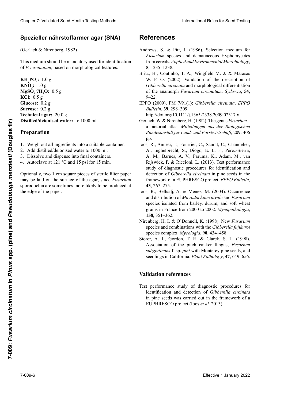### **Agar spezieller nährstoffarmer (SNA) Spezieller Nährstoffarmer Agar (SNA) nährstoffarmer agar (SNA)Spezieller nährstoffarmer agar (SNA)**

(Gerlach & Nirenberg, 1982) (Gerlach & Nirenberg, 1982)

*F. circinatum* verwendet werden.

This medium should be mandatory used for identification of F. circinatum, based on morphological features.

**KNO<sub>3</sub>:** 1.0 g **MgSO, 7H, C**  $\mathbf{K}$ **Cl:**  $0.5 \text{ g}^2$ **O:** 0,5 g **Glucose:** 0.2 g **Glucosa:** 0,2 g **Glucose:**0,2 **Glucose :** 0,2 g **Sucrose:** 0.2 g **Sacarosa:** 0,2 g **Sucrose:** 0,2 g **Sucrose :** 0,2 g **Technical agar:** 20.0 g **Agar técnico:** 20,0 g *Distinculationiscu water*: to 1000 ml : 1.0 g<br>  $\mathbf{D_4}$  7H<sub>2</sub>O: 0.5<br>
0.5 g<br>
se: 0.2 g **Technical agar:** 20,0 g<br>Distilled/deienised weter **Distillierte Wasser Water:** to 1000 ml ว่ *า*น o **MgSO<sub>4</sub> 7H<sub>2</sub>O:** 0.5 g<br>**KC**P: 0.5 g **Agar :** 20,0 g **Distilled/deionised water:** to 1000 ml **KH<sub>2</sub>PO<sub>4</sub>: 1.0 g** 

### **Preparation**

- 1. Weigh out all ingredients into a suitable container.
- 2. Add distilled/deionised water to 1000 ml.
- 3. Dissolve and dispense into final containers.
- 4. Autoclave at 121 °C and 15 psi for 15 min.

3. Disolver y dispensar en los recipientes finales. Optionally, two 1 cm square pieces of steril sporodochia are sometimes more likely to be produced at the edge of the paper. Wasser. Optionally, two 1 cm square pieces of sterile filter paper Optionally, two 1 cm square pieces of sterile filter paper<br>may be laid on the surface of the agar, since *Fusarium* 

## **Referencias Literaturquellen Références References**

- Andrews, S. & Pitt, J. (1986). Selection medium for Andrews, S. & Pitt, J. (1986). Selection medium for *Fusarium* species and dematiaceous Hyphomycetes *Fusarium* species and dematiaceous Hyphomycetes from cereals. *Applied and Environmental Microbiology*, from cereals. *Applied and Environmental Microbiology*, **5**, 1235–1238. **5**, 1235–1238.
- Britz, H., Coutinho, T. A., Wingfield M. J. & Marasas Britz, H., Coutinho, T. A., Wingfield M. J. & Marasas W. F. O. (2002). Validation of the description of W. F. O. (2002). Validation of the description of *Gibberella circinata* and morphological differentiation *Gibberella Gibberella circinata* and morphological differentiation of the anamorph *Fusarium circinatum*. *Sydowia*, **54**, *Fusarium* of the anamorph *Fusarium circinatum*. *Sydowia*, **54**, 9–22. 9–22.
- EPPO (2009), PM 7/91(1): *Gibberella circinata*. *EPPO Gibberella* EPPO (2009), PM 7/91(1): *Gibberella circinata*. *EPPO Bulletin*, **39**, 298–309. *Bulletin*, **39**, 298–309.

http://doi.org/10.1111/j.1365-2338.2009.02317.x http://doi.org/10.1111/j.1365-2338.2009.02317.x

- Gerlach, W. & Nirenberg, H. (1982). The genus *Fusarium* Gerlach, W. & Nirenberg, H. (1982). The genus *Fusarium* a pictorial atlas. *Mitteilungen aus der Biologischen*  a pictorial atlas. *Mitteilungen aus der Biologischen Bundesanstalt fur Land- und Forstwirtschaft*, 209. 406 pp. *Bundesanstalt fur Land- und Forstwirtschaft*, 209. 406 Ioos, R., Annesi, T., Fourrier, C., Saurat, C., Chandelier, pp.
- Ioos, R., Annesi, T., Fourrier, C., Saurat, C., Chandelier, A., Inghelbrecht, S., Diogo, E. L. F., Pérez-Sierra, A. M., Barnes, A. V., Paruma, K., Adam, M., van Rijswick, P. & Riccioni, L. (2013). Test performance study of diagnostic procedures for identification and detection of *Gibberella circinata* in pine seeds in the framework of a EUPHRESCO project. *EPPO Bulletin*,  $43, 267-275.$ Clearly 1. Validated Steel Testing Federal Contact The References above and developeration of Contact Contact Contact Contact Contact Contact Contact Contact Contact Contact Contact Contact Contact Contact Contact Contact Cheape 7 Validiant Seat Health Toring Model<br>
Specifier Rahves Summarizer (SNA)<br>
Specifier Rahves Summarizer Summarizer Summarizer Summarizer Summarizer Summarizer Summarizer Summarizer Summarizer Summarizer Summarizer Sum **Effective 2022**<br> **Examples 2022**<br> **Examples 2022**<br> **Examples 2022**<br> **Examples 2022**<br> **Examples 2022**<br> **Examples 2022**<br> **Examples 2022**<br> **Examples 2022**<br> **Examples 2022**<br> **Examples 2022**<br> **Examples 2022**<br> **Examples 2022**<br>
	- Ioos, R., Belhadj, A. & Menez, M. (2004). Occurrence and distribution of *Microdochium nivale* and *Fusarium* species isolated from barley, durum, and soft wheat species isolated from barley, durum, and soft wheat grains in France from 2000 to 2002. *Mycopathologia*, **158**, 351–362.
	- Nirenberg, H. I. & O'Donnell, K. (1998). New *Fusarium* species and combinations with the *Gibberella fujikuroi* species complex. *Mycologia*, 90, 434–458.
	- Storer, A. J., Gordon, T. R. & Clarck, S. L. (1998). Association of the pitch canker fungus, *Fusarium* subglutinans f. sp. pini with Monterey pine seeds, and seedlings in California. *Plant Pathology*, **47**, 649–656.

#### El estudio del análisis de desempeño de los procedimientos Eine Untersuchung der Nachweismöglichkeit für Test performance study of diagnostic procedures for **Validation references**

Test performance study of diagnostic procedures for identification and detection of *Gibberella circinata* in pine seeds was carried out in the framework of a (Ioos *et al*., 2013) EUPHRESCO project (Ioos *et al.* 2013)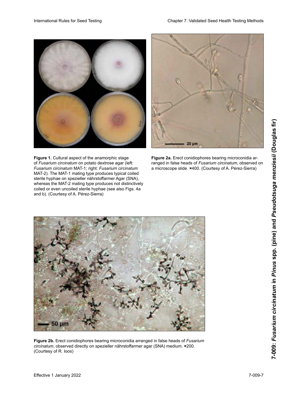

**Figure 1.** Cultural aspect of the anamorphic stage

of *Fusarium circinatum* on potato dextrose agar (left: Fusarium circinatum MAT-1; right: Fusarium circinatum MAT-2). The MAT-1 mating type produces typical coiled sterile hyphae on spezieller nährstoffarmer Agar (SNA),



Figure 2a. Erect conidiophores bearing microconidia arranged in false heads of Fusarium circinatum, observed on a microscope slide. ×400. (Courtesy of A. Pérez-Sierra)





Figure 2b. Erect conidiophores bearing microconidia arranged in false heads of Fusarium *circinatum*, observed directly on spezieller nährstoffarmer agar (SNA) medium. **×**200. (Courtesy of R. Ioos) au grossissement **autorisation de R. Ioos**) au grossissement *x*